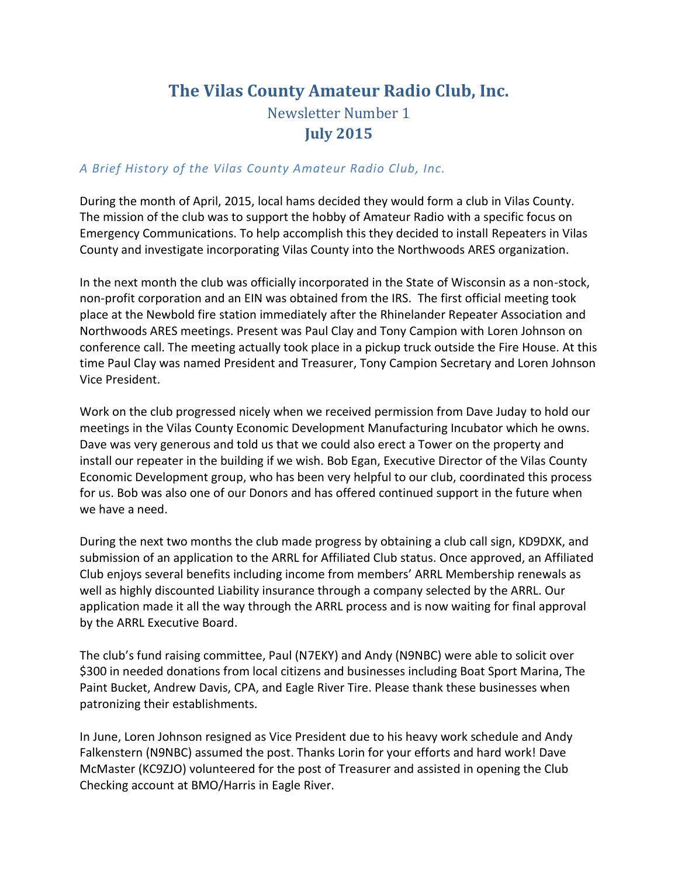## **The Vilas County Amateur Radio Club, Inc.** Newsletter Number 1 **July 2015**

## *A Brief History of the Vilas County Amateur Radio Club, Inc.*

During the month of April, 2015, local hams decided they would form a club in Vilas County. The mission of the club was to support the hobby of Amateur Radio with a specific focus on Emergency Communications. To help accomplish this they decided to install Repeaters in Vilas County and investigate incorporating Vilas County into the Northwoods ARES organization.

In the next month the club was officially incorporated in the State of Wisconsin as a non-stock, non-profit corporation and an EIN was obtained from the IRS. The first official meeting took place at the Newbold fire station immediately after the Rhinelander Repeater Association and Northwoods ARES meetings. Present was Paul Clay and Tony Campion with Loren Johnson on conference call. The meeting actually took place in a pickup truck outside the Fire House. At this time Paul Clay was named President and Treasurer, Tony Campion Secretary and Loren Johnson Vice President.

Work on the club progressed nicely when we received permission from Dave Juday to hold our meetings in the Vilas County Economic Development Manufacturing Incubator which he owns. Dave was very generous and told us that we could also erect a Tower on the property and install our repeater in the building if we wish. Bob Egan, Executive Director of the Vilas County Economic Development group, who has been very helpful to our club, coordinated this process for us. Bob was also one of our Donors and has offered continued support in the future when we have a need.

During the next two months the club made progress by obtaining a club call sign, KD9DXK, and submission of an application to the ARRL for Affiliated Club status. Once approved, an Affiliated Club enjoys several benefits including income from members' ARRL Membership renewals as well as highly discounted Liability insurance through a company selected by the ARRL. Our application made it all the way through the ARRL process and is now waiting for final approval by the ARRL Executive Board.

The club's fund raising committee, Paul (N7EKY) and Andy (N9NBC) were able to solicit over \$300 in needed donations from local citizens and businesses including Boat Sport Marina, The Paint Bucket, Andrew Davis, CPA, and Eagle River Tire. Please thank these businesses when patronizing their establishments.

In June, Loren Johnson resigned as Vice President due to his heavy work schedule and Andy Falkenstern (N9NBC) assumed the post. Thanks Lorin for your efforts and hard work! Dave McMaster (KC9ZJO) volunteered for the post of Treasurer and assisted in opening the Club Checking account at BMO/Harris in Eagle River.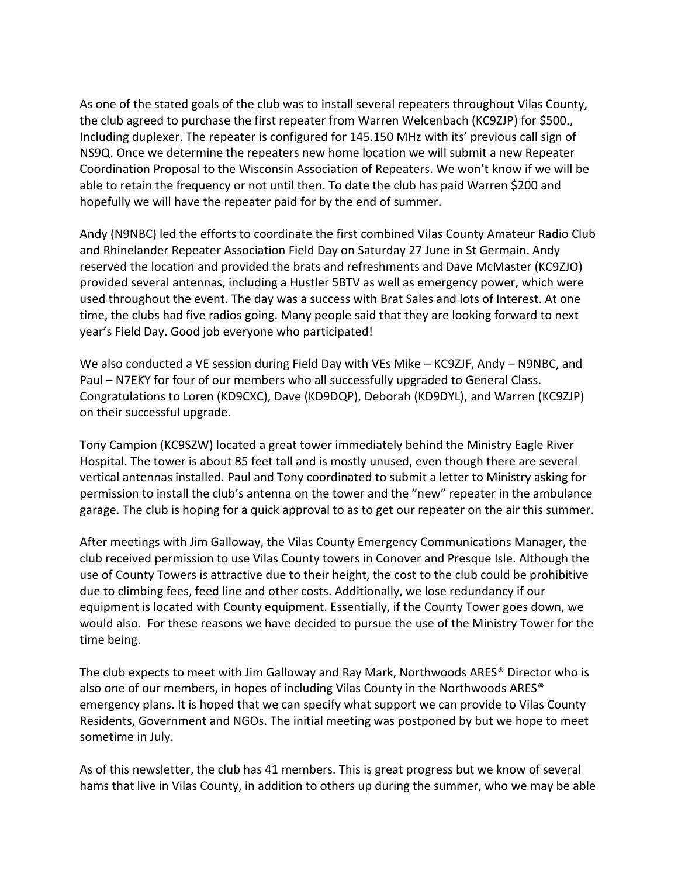As one of the stated goals of the club was to install several repeaters throughout Vilas County, the club agreed to purchase the first repeater from Warren Welcenbach (KC9ZJP) for \$500., Including duplexer. The repeater is configured for 145.150 MHz with its' previous call sign of NS9Q. Once we determine the repeaters new home location we will submit a new Repeater Coordination Proposal to the Wisconsin Association of Repeaters. We won't know if we will be able to retain the frequency or not until then. To date the club has paid Warren \$200 and hopefully we will have the repeater paid for by the end of summer.

Andy (N9NBC) led the efforts to coordinate the first combined Vilas County Amateur Radio Club and Rhinelander Repeater Association Field Day on Saturday 27 June in St Germain. Andy reserved the location and provided the brats and refreshments and Dave McMaster (KC9ZJO) provided several antennas, including a Hustler 5BTV as well as emergency power, which were used throughout the event. The day was a success with Brat Sales and lots of Interest. At one time, the clubs had five radios going. Many people said that they are looking forward to next year's Field Day. Good job everyone who participated!

We also conducted a VE session during Field Day with VEs Mike – KC9ZJF, Andy – N9NBC, and Paul – N7EKY for four of our members who all successfully upgraded to General Class. Congratulations to Loren (KD9CXC), Dave (KD9DQP), Deborah (KD9DYL), and Warren (KC9ZJP) on their successful upgrade.

Tony Campion (KC9SZW) located a great tower immediately behind the Ministry Eagle River Hospital. The tower is about 85 feet tall and is mostly unused, even though there are several vertical antennas installed. Paul and Tony coordinated to submit a letter to Ministry asking for permission to install the club's antenna on the tower and the "new" repeater in the ambulance garage. The club is hoping for a quick approval to as to get our repeater on the air this summer.

After meetings with Jim Galloway, the Vilas County Emergency Communications Manager, the club received permission to use Vilas County towers in Conover and Presque Isle. Although the use of County Towers is attractive due to their height, the cost to the club could be prohibitive due to climbing fees, feed line and other costs. Additionally, we lose redundancy if our equipment is located with County equipment. Essentially, if the County Tower goes down, we would also. For these reasons we have decided to pursue the use of the Ministry Tower for the time being.

The club expects to meet with Jim Galloway and Ray Mark, Northwoods ARES® Director who is also one of our members, in hopes of including Vilas County in the Northwoods ARES® emergency plans. It is hoped that we can specify what support we can provide to Vilas County Residents, Government and NGOs. The initial meeting was postponed by but we hope to meet sometime in July.

As of this newsletter, the club has 41 members. This is great progress but we know of several hams that live in Vilas County, in addition to others up during the summer, who we may be able